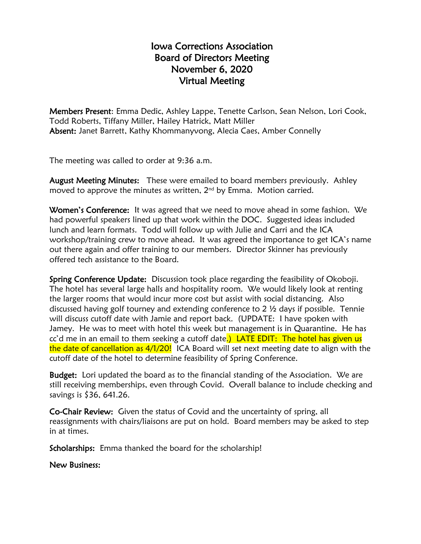## Iowa Corrections Association Board of Directors Meeting November 6, 2020 Virtual Meeting

Members Present: Emma Dedic, Ashley Lappe, Tenette Carlson, Sean Nelson, Lori Cook, Todd Roberts, Tiffany Miller, Hailey Hatrick, Matt Miller Absent: Janet Barrett, Kathy Khommanyvong, Alecia Caes, Amber Connelly

The meeting was called to order at 9:36 a.m.

August Meeting Minutes: These were emailed to board members previously. Ashley moved to approve the minutes as written, 2<sup>nd</sup> by Emma. Motion carried.

Women's Conference: It was agreed that we need to move ahead in some fashion. We had powerful speakers lined up that work within the DOC. Suggested ideas included lunch and learn formats. Todd will follow up with Julie and Carri and the ICA workshop/training crew to move ahead. It was agreed the importance to get ICA's name out there again and offer training to our members. Director Skinner has previously offered tech assistance to the Board.

Spring Conference Update: Discussion took place regarding the feasibility of Okoboji. The hotel has several large halls and hospitality room. We would likely look at renting the larger rooms that would incur more cost but assist with social distancing. Also discussed having golf tourney and extending conference to 2 ½ days if possible. Tennie will discuss cutoff date with Jamie and report back. (UPDATE: I have spoken with Jamey. He was to meet with hotel this week but management is in Quarantine. He has cc'd me in an email to them seeking a cutoff date.) LATE EDIT: The hotel has given us the date of cancellation as 4/1/20! ICA Board will set next meeting date to align with the cutoff date of the hotel to determine feasibility of Spring Conference.

Budget: Lori updated the board as to the financial standing of the Association. We are still receiving memberships, even through Covid. Overall balance to include checking and savings is \$36, 641.26.

Co-Chair Review: Given the status of Covid and the uncertainty of spring, all reassignments with chairs/liaisons are put on hold. Board members may be asked to step in at times.

Scholarships: Emma thanked the board for the scholarship!

New Business: